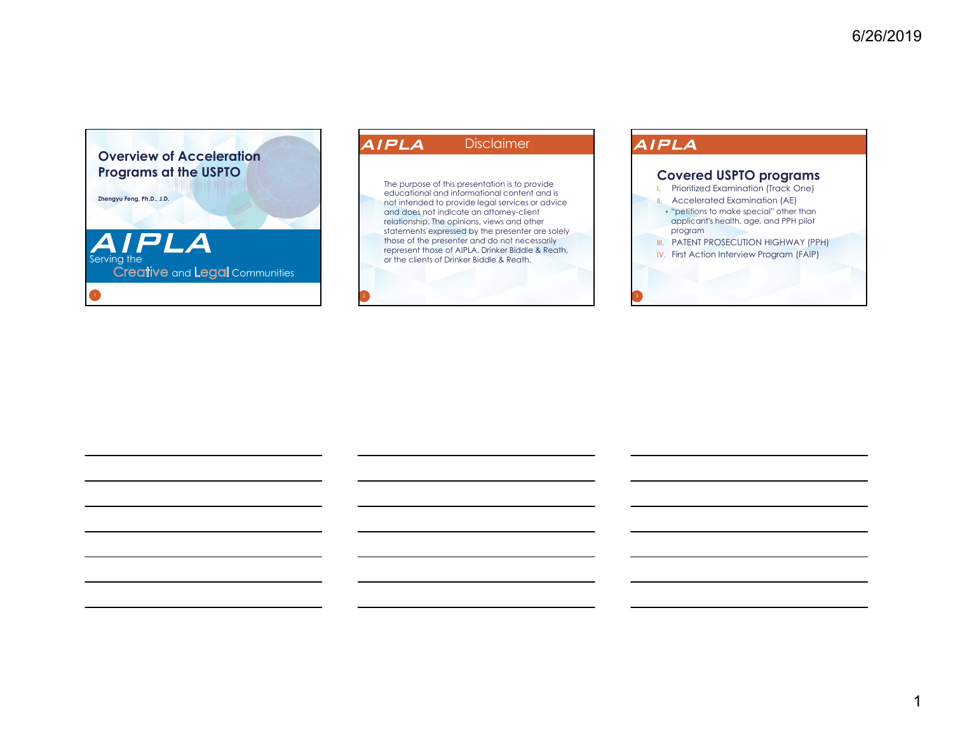

### AIPLA DisclaimerThe purpose of this presentation is to provide educational and informational content and is not intended to provide legal services or advice

and does not indicate an attorney-client relationship. The opinions, views and other statements expressed by the presenter are solely those of the presenter and do not necessarily represent those of AIPLA, Drinker Biddle & Reath, or the clients of Drinker Biddle & Reath.

### AIPLA

### **Covered USPTO programs**

- I. Prioritized Examination (Track One)
- II. Accelerated Examination (AE) "petitions to make special" other than applicant's health, age, and PPH pilot program
- **III. PATENT PROSECUTION HIGHWAY (PPH)**
- IV. First Action Interview Program (FAIP)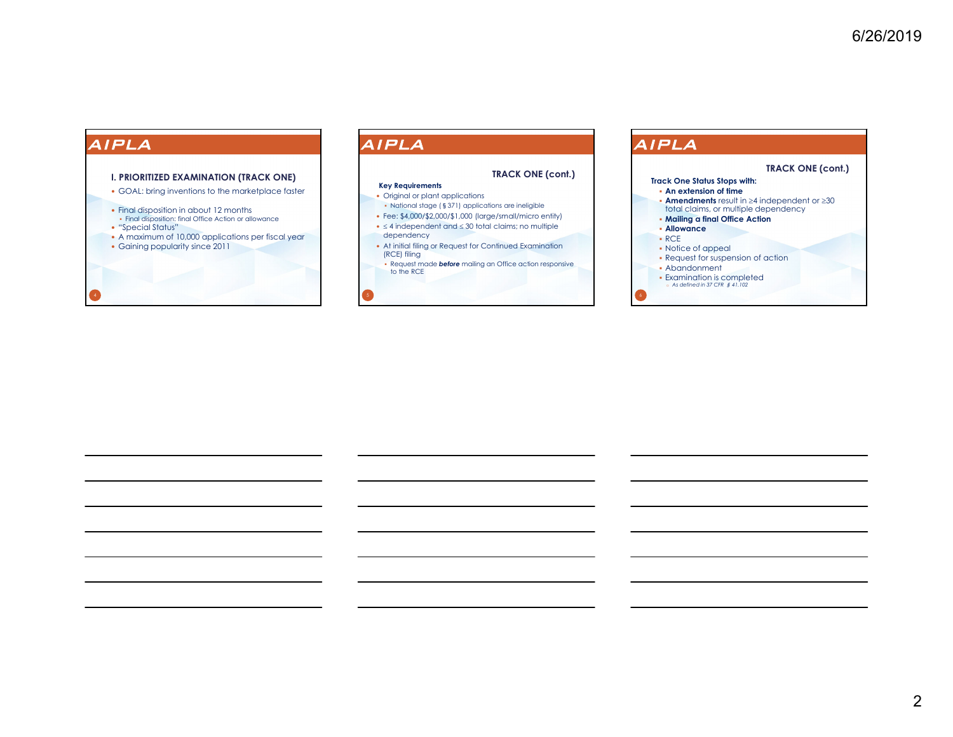#### **I. PRIORITIZED EXAMINATION (TRACK ONE)**

GOAL: bring inventions to the marketplace faster

- Final disposition in about 12 months
- Final disposition: final Office Action or allowance
- "Special Status"
- A maximum of 10,000 applications per fiscal year
- Gaining popularity since 2011

### AIPLA

#### **TRACK ONE (cont.)**

#### **Key Requirements**

- Original or plant applications National stage (§371) applications are ineligible
- Fee: \$4,000/\$2,000/\$1,000 (large/small/micro entity)
- $\bullet \leq 4$  independent and  $\leq 30$  total claims; no multiple dependency
- At initial filing or Request for Continued Examination (RCE) filing
- Request made *before* mailing an Office action responsive to the RCE

### **AIPLA**

#### **Track One Status Stops with: An extension of time Amendments** result in  $\geq 4$  independent or  $\geq 30$ total claims, or multiple dependency **Mailing a final Office Action Allowance** RCE • Notice of appeal Request for suspension of action Abandonment Examination is completed o *As defined in 37 CFR* § *41.102* **TRACK ONE (cont.)**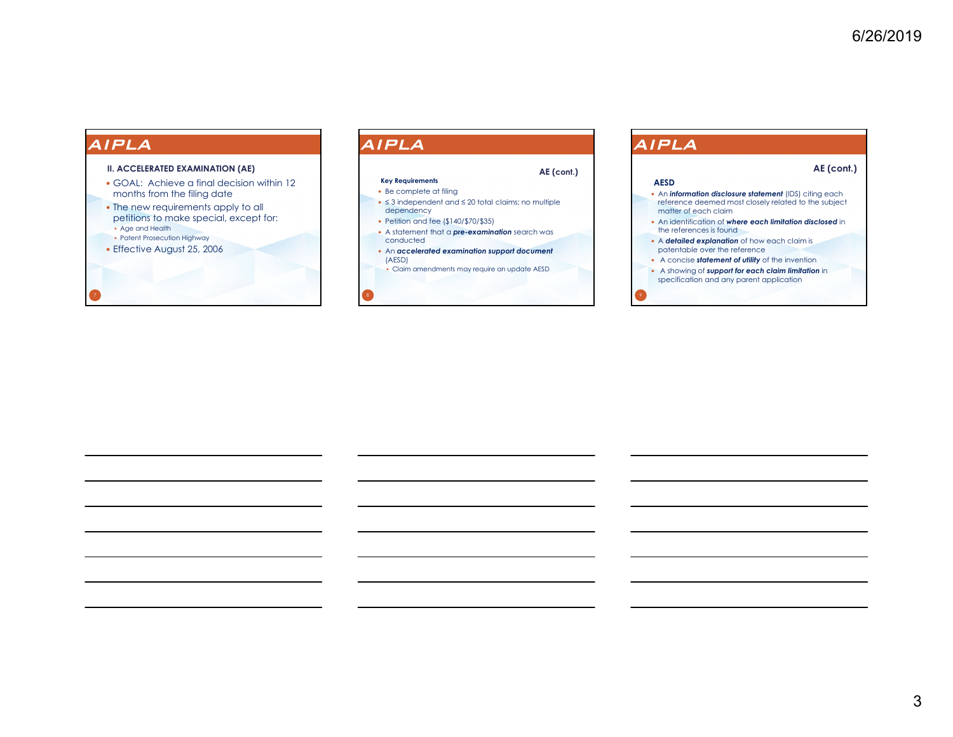7

#### **II. ACCELERATED EXAMINATION (AE)**

- GOAL: Achieve a final decision within 12 months from the filing date
- The new requirements apply to all petitions to make special, except for: Age and Health
- Patent Prosecution Highway
- Effective August 25, 2006

### AIPLA

#### **Key Requirements**

#### Be complete at filing

 <sup>≤</sup> 3 independent and ≤ 20 total claims; no multiple dependency

**AE (cont.)**

- Petition and fee (\$140/\$70/\$35)
- A statement that a *pre-examination* search was conducted
- An *accelerated examination support document* (AESD)
- Claim amendments may require an update AESD

### AIPLA

#### **AE (cont.)**

#### **AESD**

- An *information disclosure statement* (IDS) citing each reference deemed most closely related to the subject matter of each claim
- An identification of *where each limitation disclosed* in the references is found
- A *detailed explanation* of how each claim is patentable over the reference
- A concise *statement of utility* of the invention
- A showing of *support for each claim limitation* in specification and any parent application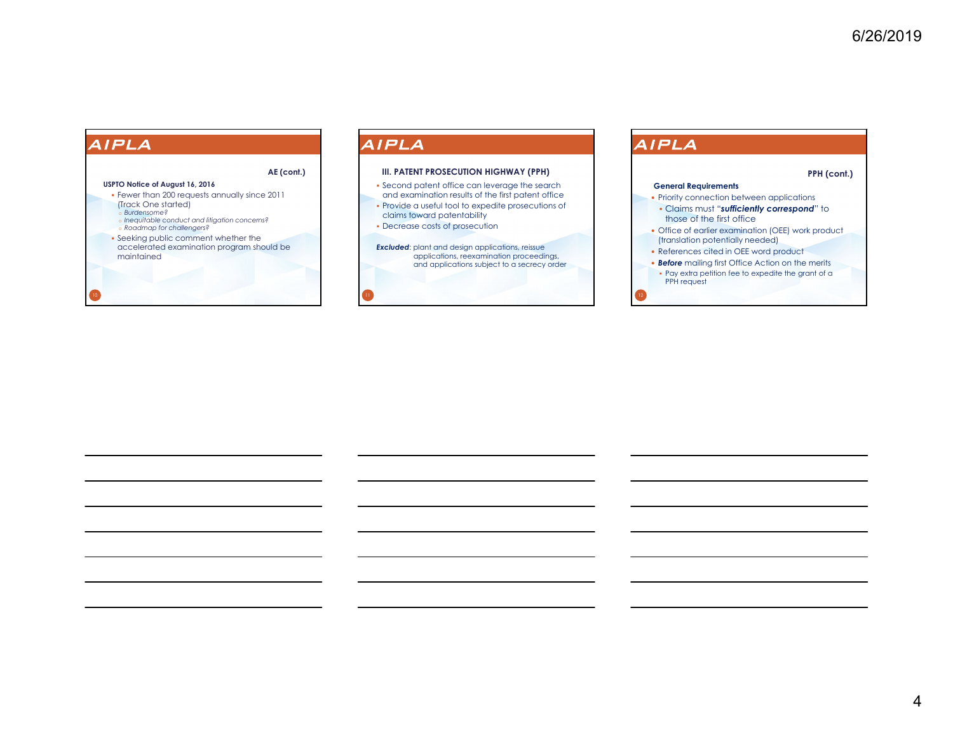

### AIPLA

#### **III. PATENT PROSECUTION HIGHWAY (PPH)**

- Second patent office can leverage the search and examination results of the first patent office
- Provide a useful tool to expedite prosecutions of claims toward patentability
- Decrease costs of prosecution
- **Excluded:** plant and design applications, reissue applications, reexamination proceedings, and applications subject to a secrecy order

### **AIPLA**

#### **PPH (cont.)**

#### **General Requirements**

- Priority connection between applications
- Claims must "*sufficiently correspond*" to those of the first office
- Office of earlier examination (OEE) work product (translation potentially needed)
- References cited in OEE word product
- *Before* mailing first Office Action on the merits Pay extra petition fee to expedite the grant of a PPH request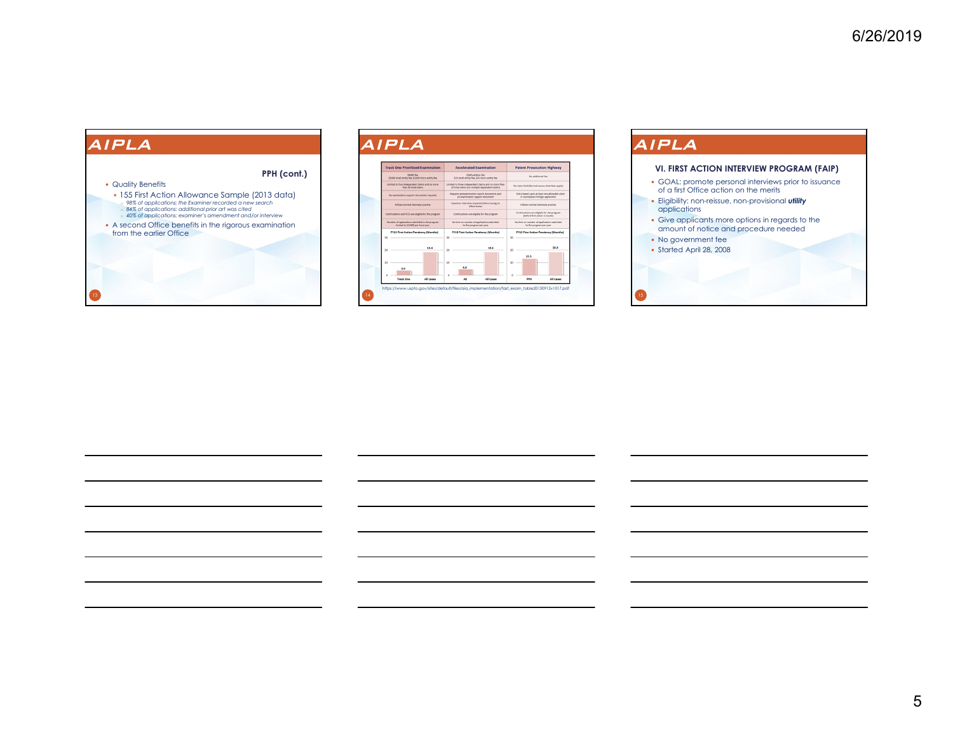

#### AIPLA **Track One Prioritized Examination** Accelerated Examination



# AIPLA

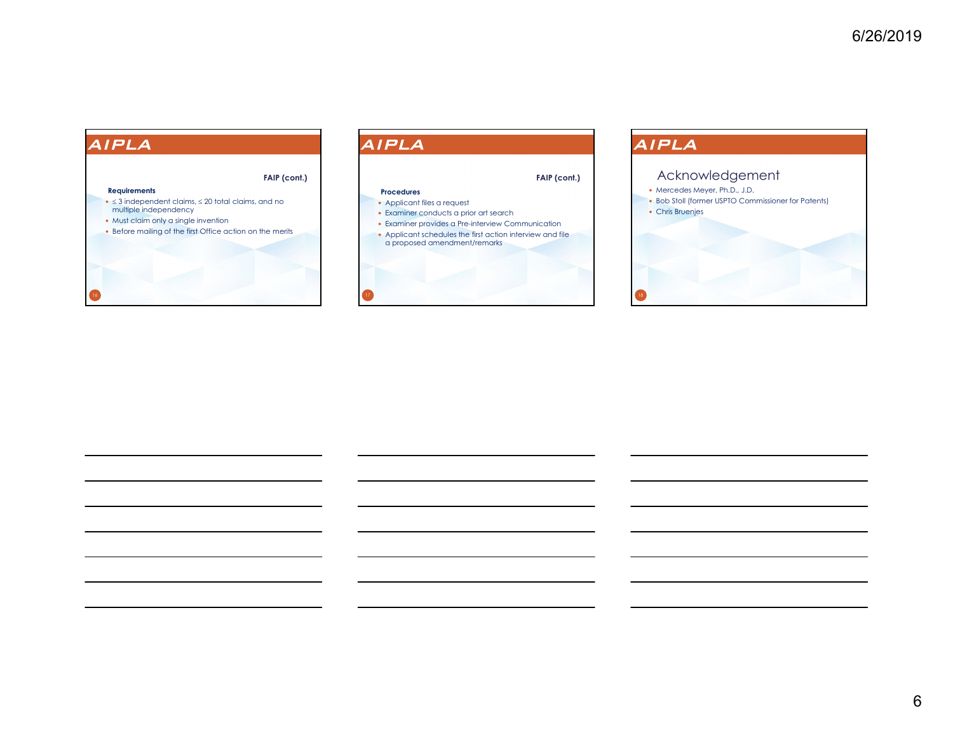#### **Requirements**

- $\bullet \leq 3$  independent claims,  $\leq 20$  total claims, and no multiple independency
- Must claim only a single invention
- Before mailing of the first Office action on the merits

**FAIP (cont.)**

# AIPLA

#### **Procedures**

- Applicant files a request
- Examiner conducts a prior art search
- Examiner provides a Pre-interview Communication Applicant schedules the first action interview and file a proposed amendment/remarks

**FAIP (cont.)**

# AIPLA

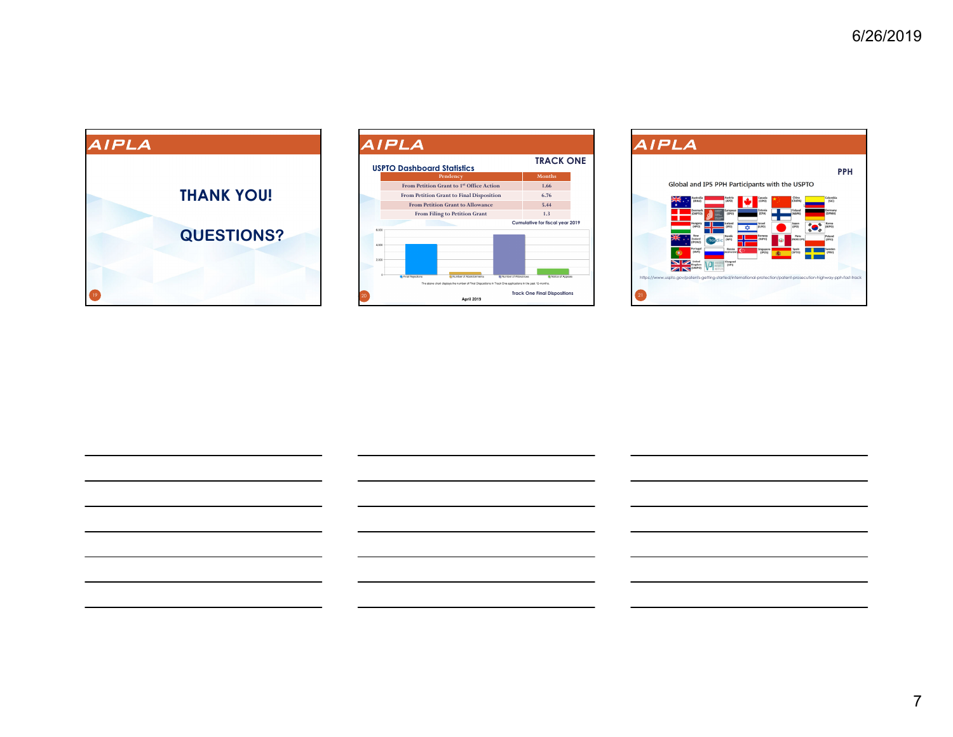